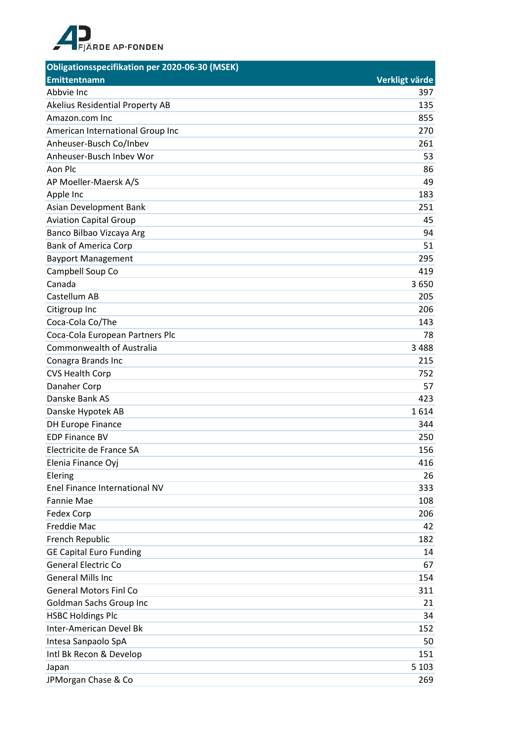

| <b>Obligationsspecifikation per 2020-06-30 (MSEK)</b> |                |
|-------------------------------------------------------|----------------|
| <b>Emittentnamn</b>                                   | Verkligt värde |
| Abbvie Inc                                            | 397            |
| Akelius Residential Property AB                       | 135            |
| Amazon.com Inc                                        | 855            |
| American International Group Inc                      | 270            |
| Anheuser-Busch Co/Inbev                               | 261            |
| Anheuser-Busch Inbev Wor                              | 53             |
| Aon Plc                                               | 86             |
| AP Moeller-Maersk A/S                                 | 49             |
| Apple Inc                                             | 183            |
| Asian Development Bank                                | 251            |
| <b>Aviation Capital Group</b>                         | 45             |
| Banco Bilbao Vizcaya Arg                              | 94             |
| <b>Bank of America Corp</b>                           | 51             |
| <b>Bayport Management</b>                             | 295            |
| Campbell Soup Co                                      | 419            |
| Canada                                                | 3650           |
| Castellum AB                                          | 205            |
| Citigroup Inc                                         | 206            |
| Coca-Cola Co/The                                      | 143            |
| Coca-Cola European Partners Plc                       | 78             |
| Commonwealth of Australia                             | 3488           |
| Conagra Brands Inc                                    | 215            |
| <b>CVS Health Corp</b>                                | 752            |
| Danaher Corp                                          | 57             |
| Danske Bank AS                                        | 423            |
| Danske Hypotek AB                                     | 1614           |
| <b>DH Europe Finance</b>                              | 344            |
| <b>EDP Finance BV</b>                                 | 250            |
| Electricite de France SA                              | 156            |
| Elenia Finance Oyj                                    | 416            |
| Elering                                               | 26             |
| Enel Finance International NV                         | 333            |
| <b>Fannie Mae</b>                                     | 108            |
| Fedex Corp                                            | 206            |
| <b>Freddie Mac</b>                                    | 42             |
| French Republic                                       | 182            |
| <b>GE Capital Euro Funding</b>                        | 14             |
| <b>General Electric Co</b>                            | 67             |
| <b>General Mills Inc</b>                              | 154            |
| <b>General Motors Finl Co</b>                         | 311            |
| Goldman Sachs Group Inc                               | 21             |
| <b>HSBC Holdings Plc</b>                              | 34             |
| Inter-American Devel Bk                               | 152            |
| Intesa Sanpaolo SpA                                   | 50             |
| Intl Bk Recon & Develop                               | 151            |
| Japan                                                 | 5 1 0 3        |
| JPMorgan Chase & Co                                   | 269            |